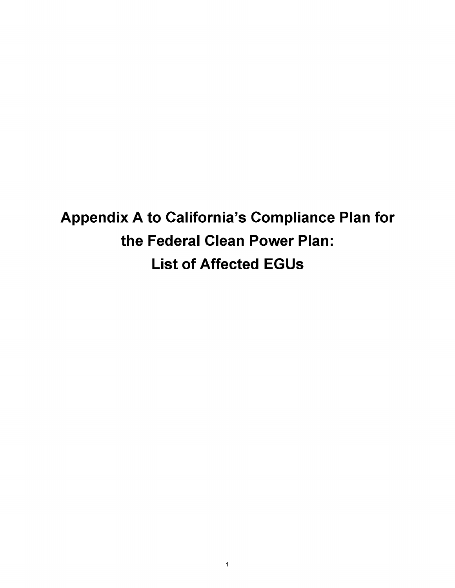**Appendix A to California's Compliance Plan for the Federal Clean Power Plan: List of Affected EGUs**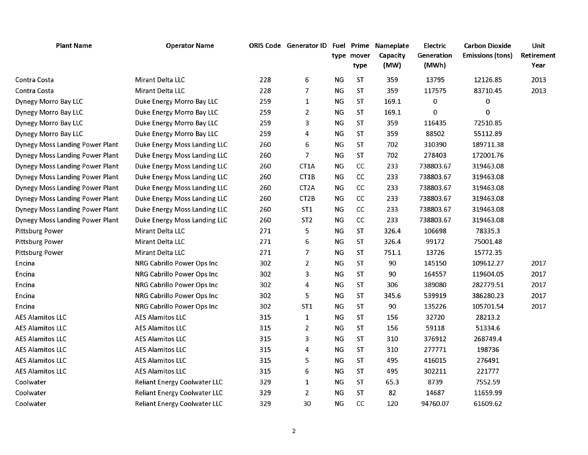| <b>Plant Name</b>                      | <b>Operator Name</b>                |     | ORIS Code Generator ID Fuel Prime Nameplate |           | type mover<br>type | Capacity<br>(MW) | Electric<br>Generation<br>(MWh) | <b>Carbon Dioxide</b><br><b>Emissions (tons)</b> | Unit<br>Retirement<br>Year |
|----------------------------------------|-------------------------------------|-----|---------------------------------------------|-----------|--------------------|------------------|---------------------------------|--------------------------------------------------|----------------------------|
| Contra Costa                           | Mirant Delta LLC                    | 228 | 6                                           | ΝG        | <b>ST</b>          | 359              | 13795                           | 12126.85                                         | 2013                       |
| Contra Costa                           | Mirant Delta LLC                    | 228 | 7                                           | ΝG        | <b>ST</b>          | 359              | 117575                          | 83710.45                                         | 2013                       |
| Dynegy Morro Bay LLC                   | Duke Energy Morro Bay LLC           | 259 | 1                                           | <b>NG</b> | <b>ST</b>          | 169.1            | $\pmb{0}$                       | 0                                                |                            |
| Dynegy Morro Bay LLC                   | Duke Energy Morro Bay LLC           | 259 | 2                                           | <b>NG</b> | <b>ST</b>          | 169.1            | 0                               | $\mathbf 0$                                      |                            |
| Dynegy Morro Bay LLC                   | Duke Energy Morro Bay LLC           | 259 | 3                                           | <b>NG</b> | <b>ST</b>          | 359              | 116435                          | 72510.85                                         |                            |
| Dynegy Morro Bay LLC                   | Duke Energy Morro Bay LLC           | 259 | 4                                           | <b>NG</b> | <b>ST</b>          | 359              | 88502                           | 55112.89                                         |                            |
| <b>Dynegy Moss Landing Power Plant</b> | Duke Energy Moss Landing LLC        | 260 | 6                                           | ΝG        | ST                 | 702              | 310390                          | 189711.38                                        |                            |
| <b>Dynegy Moss Landing Power Plant</b> | Duke Energy Moss Landing LLC        | 260 | 7                                           | <b>NG</b> | <b>ST</b>          | 702              | 278403                          | 172001.76                                        |                            |
| <b>Dynegy Moss Landing Power Plant</b> | Duke Energy Moss Landing LLC        | 260 | CT1A                                        | ΝG        | cc                 | 233              | 738803.67                       | 319463.08                                        |                            |
| <b>Dynegy Moss Landing Power Plant</b> | Duke Energy Moss Landing LLC        | 260 | CT1B                                        | ΝG        | CC                 | 233              | 738803.67                       | 319463.08                                        |                            |
| <b>Dynegy Moss Landing Power Plant</b> | Duke Energy Moss Landing LLC        | 260 | CT <sub>2</sub> A                           | ΝG        | cc                 | 233              | 738803.67                       | 319463.08                                        |                            |
| <b>Dynegy Moss Landing Power Plant</b> | Duke Energy Moss Landing LLC        | 260 | CT2B                                        | ΝG        | cc                 | 233              | 738803.67                       | 319463.08                                        |                            |
| <b>Dynegy Moss Landing Power Plant</b> | Duke Energy Moss Landing LLC        | 260 | ST <sub>1</sub>                             | ΝG        | cc                 | 233              | 738803.67                       | 319463.08                                        |                            |
| <b>Dynegy Moss Landing Power Plant</b> | Duke Energy Moss Landing LLC        | 260 | ST <sub>2</sub>                             | <b>NG</b> | cc                 | 233              | 738803.67                       | 319463.08                                        |                            |
| <b>Pittsburg Power</b>                 | Mirant Delta LLC                    | 271 | 5                                           | <b>NG</b> | <b>ST</b>          | 326.4            | 106698                          | 78335.3                                          |                            |
| <b>Pittsburg Power</b>                 | Mirant Delta LLC                    | 271 | 6                                           | NG        | <b>ST</b>          | 326.4            | 99172                           | 75001.48                                         |                            |
| <b>Pittsburg Power</b>                 | Mirant Delta LLC                    | 271 | 7                                           | ΝG        | <b>ST</b>          | 751.1            | 13726                           | 15772.35                                         |                            |
| Encina                                 | NRG Cabrillo Power Ops Inc          | 302 | 2                                           | ΝG        | <b>ST</b>          | 90               | 145150                          | 109612.27                                        | 2017                       |
| Encina                                 | NRG Cabrillo Power Ops Inc          | 302 | 3                                           | ΝG        | <b>ST</b>          | 90               | 164557                          | 119604.05                                        | 2017                       |
| Encina                                 | NRG Cabrillo Power Ops Inc          | 302 | 4                                           | <b>NG</b> | <b>ST</b>          | 306              | 389080                          | 282779.51                                        | 2017                       |
| Encina                                 | NRG Cabrillo Power Ops Inc          | 302 | 5                                           | ΝG        | <b>ST</b>          | 345.6            | 539919                          | 386280.23                                        | 2017                       |
| Encina                                 | <b>NRG Cabrillo Power Ops Inc</b>   | 302 | ST <sub>1</sub>                             | ΝG        | <b>ST</b>          | 90               | 135226                          | 105701.54                                        | 2017                       |
| <b>AES Alamitos LLC</b>                | <b>AES Alamitos LLC</b>             | 315 | $\mathbf{1}$                                | ΝG        | <b>ST</b>          | 156              | 32720                           | 28213.2                                          |                            |
| <b>AES Alamitos LLC</b>                | <b>AES Alamitos LLC</b>             | 315 | $\overline{2}$                              | <b>NG</b> | <b>ST</b>          | 156              | 59118                           | 51334.6                                          |                            |
| <b>AES Alamitos LLC</b>                | <b>AES Alamitos LLC</b>             | 315 | 3                                           | <b>NG</b> | ST                 | 310              | 376912                          | 268749.4                                         |                            |
| <b>AES Alamitos LLC</b>                | <b>AES Alamitos LLC</b>             | 315 | 4                                           | <b>NG</b> | <b>ST</b>          | 310              | 277771                          | 198736                                           |                            |
| <b>AES Alamitos LLC</b>                | <b>AES Alamitos LLC</b>             | 315 | 5                                           | ΝG        | <b>ST</b>          | 495              | 416015                          | 276491                                           |                            |
| <b>AES Alamitos LLC</b>                | <b>AES Alamitos LLC</b>             | 315 | 6                                           | ΝG        | <b>ST</b>          | 495              | 302211                          | 221777                                           |                            |
| Coolwater                              | <b>Reliant Energy Coolwater LLC</b> | 329 | $\mathbf{1}$                                | ΝG        | ST                 | 65.3             | 8739                            | 7552.59                                          |                            |
| Coolwater                              | <b>Reliant Energy Coolwater LLC</b> | 329 | 2                                           | ΝG        | <b>ST</b>          | 82               | 14687                           | 11659.99                                         |                            |
| Coolwater                              | <b>Reliant Energy Coolwater LLC</b> | 329 | 30                                          | ΝG        | cc                 | 120              | 94760.07                        | 61609.62                                         |                            |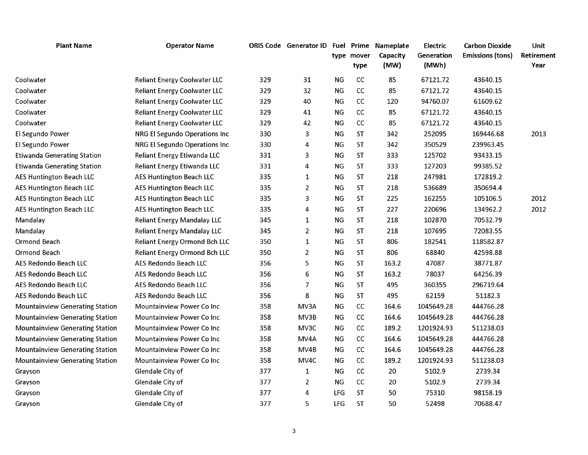| <b>Plant Name</b>                      | <b>Operator Name</b>                 |     | <b>ORIS Code</b> Generator ID |           |                    | Fuel Prime Nameplate | Electric            | <b>Carbon Dioxide</b>   | Unit               |
|----------------------------------------|--------------------------------------|-----|-------------------------------|-----------|--------------------|----------------------|---------------------|-------------------------|--------------------|
|                                        |                                      |     |                               |           | type mover<br>type | Capacity<br>(MW)     | Generation<br>(MWh) | <b>Emissions (tons)</b> | Retirement<br>Year |
| Coolwater                              | <b>Reliant Energy Coolwater LLC</b>  | 329 | 31                            | <b>NG</b> | CC                 | 85                   | 67121.72            | 43640.15                |                    |
| Coolwater                              | <b>Reliant Energy Coolwater LLC</b>  | 329 | 32                            | <b>NG</b> | cc                 | 85                   | 67121.72            | 43640.15                |                    |
| Coolwater                              | <b>Reliant Energy Coolwater LLC</b>  | 329 | 40                            | <b>NG</b> | cc                 | 120                  | 94760.07            | 61609.62                |                    |
| Coolwater                              | <b>Reliant Energy Coolwater LLC</b>  | 329 | 41                            | <b>NG</b> | cc                 | 85                   | 67121.72            | 43640.15                |                    |
| Coolwater                              | <b>Reliant Energy Coolwater LLC</b>  | 329 | 42                            | <b>NG</b> | CC                 | 85                   | 67121.72            | 43640.15                |                    |
| El Segundo Power                       | NRG El Segundo Operations Inc        | 330 | 3                             | NG        | <b>ST</b>          | 342                  | 252095              | 169446.68               | 2013               |
| El Segundo Power                       | NRG El Segundo Operations Inc        | 330 | 4                             | NG        | <b>ST</b>          | 342                  | 350529              | 239963.45               |                    |
| <b>Etiwanda Generating Station</b>     | Reliant Energy Etiwanda LLC          | 331 | 3                             | <b>NG</b> | <b>ST</b>          | 333                  | 125702              | 93433.15                |                    |
| <b>Etiwanda Generating Station</b>     | Reliant Energy Etiwanda LLC          | 331 | 4                             | <b>NG</b> | <b>ST</b>          | 333                  | 127203              | 99385.52                |                    |
| <b>AES Huntington Beach LLC</b>        | <b>AES Huntington Beach LLC</b>      | 335 | 1                             | <b>NG</b> | <b>ST</b>          | 218                  | 247981              | 172819.2                |                    |
| <b>AES Huntington Beach LLC</b>        | <b>AES Huntington Beach LLC</b>      | 335 | 2                             | <b>NG</b> | <b>ST</b>          | 218                  | 536689              | 350694.4                |                    |
| <b>AES Huntington Beach LLC</b>        | AES Huntington Beach LLC             | 335 | 3                             | <b>NG</b> | <b>ST</b>          | 225                  | 162255              | 105106.5                | 2012               |
| <b>AES Huntington Beach LLC</b>        | AES Huntington Beach LLC             | 335 | 4                             | <b>NG</b> | <b>ST</b>          | 227                  | 220696              | 134962.2                | 2012               |
| Mandalay                               | <b>Reliant Energy Mandalay LLC</b>   | 345 | $\mathbf{1}$                  | <b>NG</b> | <b>ST</b>          | 218                  | 102870              | 70532.79                |                    |
| Mandalay                               | <b>Reliant Energy Mandalay LLC</b>   | 345 | $\overline{2}$                | <b>NG</b> | <b>ST</b>          | 218                  | 107695              | 72083.55                |                    |
| Ormond Beach                           | <b>Reliant Energy Ormond Bch LLC</b> | 350 | $\mathbf{1}$                  | <b>NG</b> | <b>ST</b>          | 806                  | 182541              | 118582.87               |                    |
| Ormond Beach                           | Reliant Energy Ormond Bch LLC        | 350 | $\overline{2}$                | <b>NG</b> | <b>ST</b>          | 806                  | 68840               | 42598.88                |                    |
| AES Redondo Beach LLC                  | AES Redondo Beach LLC                | 356 | 5                             | NG        | <b>ST</b>          | 163.2                | 47087               | 38771.87                |                    |
| AES Redondo Beach LLC                  | AES Redondo Beach LLC                | 356 | 6                             | <b>NG</b> | <b>ST</b>          | 163.2                | 78037               | 64256.39                |                    |
| <b>AES Redondo Beach LLC</b>           | AES Redondo Beach LLC                | 356 | 7                             | <b>NG</b> | <b>ST</b>          | 495                  | 360355              | 296719.64               |                    |
| AES Redondo Beach LLC                  | AES Redondo Beach LLC                | 356 | 8                             | <b>NG</b> | <b>ST</b>          | 495                  | 62159               | 51182.3                 |                    |
| <b>Mountainview Generating Station</b> | Mountainview Power Co Inc            | 358 | MV3A                          | NG        | CC                 | 164.6                | 1045649.28          | 444766.28               |                    |
| <b>Mountainview Generating Station</b> | <b>Mountainview Power Co Inc.</b>    | 358 | MV3B                          | <b>NG</b> | CC                 | 164.6                | 1045649.28          | 444766.28               |                    |
| <b>Mountainview Generating Station</b> | Mountainview Power Co Inc            | 358 | MV3C                          | <b>NG</b> | cc                 | 189.2                | 1201924.93          | 511238.03               |                    |
| <b>Mountainview Generating Station</b> | Mountainview Power Co Inc            | 358 | MV4A                          | <b>NG</b> | cc                 | 164.6                | 1045649.28          | 444766.28               |                    |
| <b>Mountainview Generating Station</b> | <b>Mountainview Power Co Inc.</b>    | 358 | MV <sub>4</sub> B             | ΝG        | cc                 | 164.6                | 1045649.28          | 444766.28               |                    |
| <b>Mountainview Generating Station</b> | <b>Mountainview Power Co Inc.</b>    | 358 | MV <sub>4</sub> C             | ΝG        | CC                 | 189.2                | 1201924.93          | 511238.03               |                    |
| Grayson                                | Glendale City of                     | 377 | $\mathbf{1}$                  | <b>NG</b> | CC                 | 20                   | 5102.9              | 2739.34                 |                    |
| Grayson                                | Glendale City of                     | 377 | 2                             | <b>NG</b> | cc                 | 20                   | 5102.9              | 2739.34                 |                    |
| Grayson                                | Glendale City of                     | 377 | 4                             | LFG       | <b>ST</b>          | 50                   | 75310               | 98158.19                |                    |
| Grayson                                | Glendale City of                     | 377 | 5                             | LFG       | <b>ST</b>          | 50                   | 52498               | 70688.47                |                    |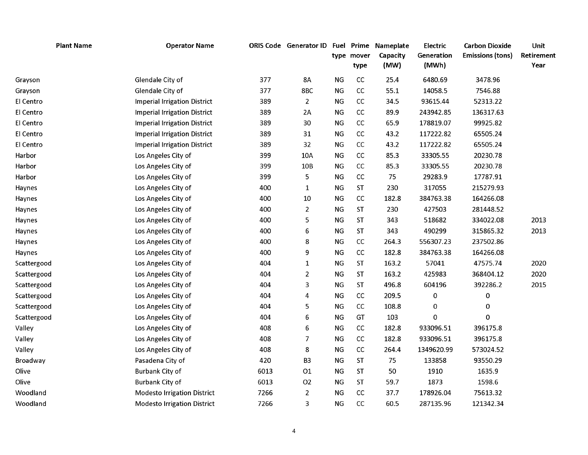| <b>Plant Name</b> | <b>Operator Name</b>                |      | ORIS Code Generator ID Fuel Prime |           | type mover<br>type | Nameplate<br>Capacity<br>(MW) | Electric<br>Generation<br>(MWh) | <b>Carbon Dioxide</b><br><b>Emissions (tons)</b> | Unit<br>Retirement<br>Year |
|-------------------|-------------------------------------|------|-----------------------------------|-----------|--------------------|-------------------------------|---------------------------------|--------------------------------------------------|----------------------------|
| Grayson           | Glendale City of                    | 377  | 8A                                | <b>NG</b> | CC                 | 25.4                          | 6480.69                         | 3478.96                                          |                            |
| Grayson           | Glendale City of                    | 377  | 8BC                               | NG        | cc                 | 55.1                          | 14058.5                         | 7546.88                                          |                            |
| El Centro         | <b>Imperial Irrigation District</b> | 389  | $\overline{2}$                    | <b>NG</b> | cc                 | 34.5                          | 93615.44                        | 52313.22                                         |                            |
| El Centro         | <b>Imperial Irrigation District</b> | 389  | 2A                                | NG        | cc                 | 89.9                          | 243942.85                       | 136317.63                                        |                            |
| El Centro         | <b>Imperial Irrigation District</b> | 389  | 30                                | <b>NG</b> | cc                 | 65.9                          | 178819.07                       | 99925.82                                         |                            |
| El Centro         | <b>Imperial Irrigation District</b> | 389  | 31                                | NG        | cc                 | 43.2                          | 117222.82                       | 65505.24                                         |                            |
| El Centro         | <b>Imperial Irrigation District</b> | 389  | 32                                | NG        | cc                 | 43.2                          | 117222.82                       | 65505.24                                         |                            |
| Harbor            | Los Angeles City of                 | 399  | 10A                               | <b>NG</b> | cc                 | 85.3                          | 33305.55                        | 20230.78                                         |                            |
| Harbor            | Los Angeles City of                 | 399  | 10 <sub>B</sub>                   | <b>NG</b> | CC                 | 85.3                          | 33305.55                        | 20230.78                                         |                            |
| Harbor            | Los Angeles City of                 | 399  | 5                                 | <b>NG</b> | CC                 | 75                            | 29283.9                         | 17787.91                                         |                            |
| Haynes            | Los Angeles City of                 | 400  | $\mathbf{1}$                      | <b>NG</b> | ST                 | 230                           | 317055                          | 215279.93                                        |                            |
| Haynes            | Los Angeles City of                 | 400  | 10                                | <b>NG</b> | cc                 | 182.8                         | 384763.38                       | 164266.08                                        |                            |
| Haynes            | Los Angeles City of                 | 400  | $\overline{2}$                    | <b>NG</b> | ST                 | 230                           | 427503                          | 281448.52                                        |                            |
| Haynes            | Los Angeles City of                 | 400  | 5                                 | <b>NG</b> | ST                 | 343                           | 518682                          | 334022.08                                        | 2013                       |
| Haynes            | Los Angeles City of                 | 400  | 6                                 | <b>NG</b> | ST                 | 343                           | 490299                          | 315865.32                                        | 2013                       |
| Haynes            | Los Angeles City of                 | 400  | 8                                 | <b>NG</b> | cc                 | 264.3                         | 556307.23                       | 237502.86                                        |                            |
| Haynes            | Los Angeles City of                 | 400  | 9                                 | <b>NG</b> | cc                 | 182.8                         | 384763.38                       | 164266.08                                        |                            |
| Scattergood       | Los Angeles City of                 | 404  | $\mathbf{1}$                      | <b>NG</b> | <b>ST</b>          | 163.2                         | 57041                           | 47575.74                                         | 2020                       |
| Scattergood       | Los Angeles City of                 | 404  | 2                                 | <b>NG</b> | <b>ST</b>          | 163.2                         | 425983                          | 368404.12                                        | 2020                       |
| Scattergood       | Los Angeles City of                 | 404  | 3                                 | <b>NG</b> | <b>ST</b>          | 496.8                         | 604196                          | 392286.2                                         | 2015                       |
| Scattergood       | Los Angeles City of                 | 404  | 4                                 | NG        | cc                 | 209.5                         | 0                               | $\pmb{0}$                                        |                            |
| Scattergood       | Los Angeles City of                 | 404  | 5                                 | <b>NG</b> | CC                 | 108.8                         | 0                               | 0                                                |                            |
| Scattergood       | Los Angeles City of                 | 404  | 6                                 | <b>NG</b> | GT                 | 103                           | 0                               | 0                                                |                            |
| Valley            | Los Angeles City of                 | 408  | 6                                 | <b>NG</b> | CC                 | 182.8                         | 933096.51                       | 396175.8                                         |                            |
| Valley            | Los Angeles City of                 | 408  | 7                                 | <b>NG</b> | CC                 | 182.8                         | 933096.51                       | 396175.8                                         |                            |
| Valley            | Los Angeles City of                 | 408  | 8                                 | <b>NG</b> | CC                 | 264.4                         | 1349620.99                      | 573024.52                                        |                            |
| Broadway          | Pasadena City of                    | 420  | B <sub>3</sub>                    | NG        | <b>ST</b>          | 75                            | 133858                          | 93550.29                                         |                            |
| Olive             | <b>Burbank City of</b>              | 6013 | O1                                | NG        | <b>ST</b>          | 50                            | 1910                            | 1635.9                                           |                            |
| Olive             | Burbank City of                     | 6013 | O <sub>2</sub>                    | <b>NG</b> | <b>ST</b>          | 59.7                          | 1873                            | 1598.6                                           |                            |
| Woodland          | <b>Modesto Irrigation District</b>  | 7266 | $\overline{2}$                    | <b>NG</b> | cc                 | 37.7                          | 178926.04                       | 75613.32                                         |                            |
| Woodland          | <b>Modesto Irrigation District</b>  | 7266 | 3                                 | <b>NG</b> | cc                 | 60.5                          | 287135.96                       | 121342.34                                        |                            |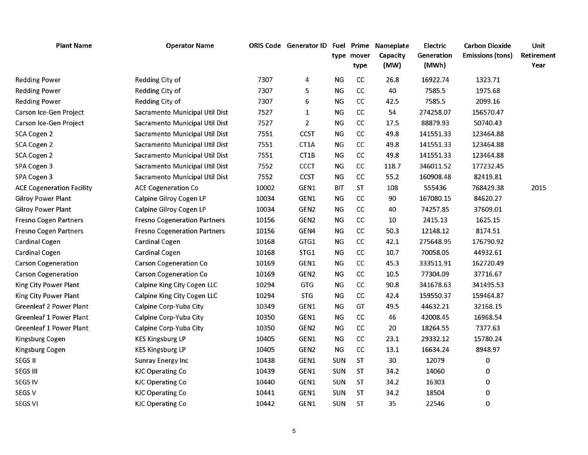| <b>Plant Name</b>                | <b>Operator Name</b>                |       | <b>ORIS Code</b> Generator ID |            | <b>Fuel Prime</b><br>type mover<br>type | Nameplate<br>Capacity<br>(MW) | Electric<br>Generation<br>(MWh) | <b>Carbon Dioxide</b><br><b>Emissions (tons)</b> | Unit<br>Retirement<br>Year |
|----------------------------------|-------------------------------------|-------|-------------------------------|------------|-----------------------------------------|-------------------------------|---------------------------------|--------------------------------------------------|----------------------------|
| <b>Redding Power</b>             | Redding City of                     | 7307  | 4                             | NG         | cc                                      | 26.8                          | 16922.74                        | 1323.71                                          |                            |
| <b>Redding Power</b>             | Redding City of                     | 7307  | 5                             | <b>NG</b>  | cc                                      | 40                            | 7585.5                          | 1975.68                                          |                            |
| <b>Redding Power</b>             | Redding City of                     | 7307  | 6                             | <b>NG</b>  | cc                                      | 42.5                          | 7585.5                          | 2099.16                                          |                            |
| Carson Ice-Gen Project           | Sacramento Municipal Util Dist      | 7527  | $\mathbf{1}$                  | <b>NG</b>  | cc                                      | 54                            | 274258.07                       | 156570.47                                        |                            |
| Carson Ice-Gen Project           | Sacramento Municipal Util Dist      | 7527  | $\overline{2}$                | <b>NG</b>  | cc                                      | 17.5                          | 88879.93                        | 50740.43                                         |                            |
| SCA Cogen 2                      | Sacramento Municipal Util Dist      | 7551  | <b>CCST</b>                   | NG         | cc                                      | 49.8                          | 141551.33                       | 123464.88                                        |                            |
| SCA Cogen 2                      | Sacramento Municipal Util Dist      | 7551  | CT1A                          | NG         | $\mathsf{CC}$                           | 49.8                          | 141551.33                       | 123464.88                                        |                            |
| SCA Cogen 2                      | Sacramento Municipal Util Dist      | 7551  | CT1B                          | ΝG         | $\mathsf{CC}$                           | 49.8                          | 141551.33                       | 123464.88                                        |                            |
| SPA Cogen 3                      | Sacramento Municipal Util Dist      | 7552  | <b>CCCT</b>                   | ΝG         | cc                                      | 118.7                         | 346011.52                       | 177232.45                                        |                            |
| SPA Cogen 3                      | Sacramento Municipal Util Dist      | 7552  | <b>CCST</b>                   | <b>NG</b>  | cc                                      | 55.2                          | 160908.48                       | 82419.81                                         |                            |
| <b>ACE Cogeneration Facility</b> | <b>ACE Cogeneration Co</b>          | 10002 | GEN1                          | <b>BIT</b> | ST                                      | 108                           | 555436                          | 768429.38                                        | 2015                       |
| <b>Gilroy Power Plant</b>        | Calpine Gilroy Cogen LP             | 10034 | GEN1                          | <b>NG</b>  | cc                                      | 90                            | 167080.15                       | 84620.27                                         |                            |
| <b>Gilroy Power Plant</b>        | Calpine Gilroy Cogen LP             | 10034 | GEN2                          | <b>NG</b>  | $\mathsf{CC}$                           | 40                            | 74257.85                        | 37609.01                                         |                            |
| <b>Fresno Cogen Partners</b>     | <b>Fresno Cogeneration Partners</b> | 10156 | GEN2                          | <b>NG</b>  | cc                                      | 10                            | 2415.13                         | 1625.15                                          |                            |
| <b>Fresno Cogen Partners</b>     | <b>Fresno Cogeneration Partners</b> | 10156 | GEN4                          | <b>NG</b>  | CC                                      | 50.3                          | 12148.12                        | 8174.51                                          |                            |
| <b>Cardinal Cogen</b>            | <b>Cardinal Cogen</b>               | 10168 | GTG1                          | <b>NG</b>  | cc                                      | 42.1                          | 275648.95                       | 176790.92                                        |                            |
| <b>Cardinal Cogen</b>            | <b>Cardinal Cogen</b>               | 10168 | STG1                          | NG         | cc                                      | 10.7                          | 70058.05                        | 44932.61                                         |                            |
| <b>Carson Cogeneration</b>       | <b>Carson Cogeneration Co</b>       | 10169 | GEN1                          | <b>NG</b>  | cc                                      | 45.3                          | 333511.91                       | 162720.49                                        |                            |
| <b>Carson Cogeneration</b>       | <b>Carson Cogeneration Co</b>       | 10169 | GEN2                          | NG         | cc                                      | 10.5                          | 77304.09                        | 37716.67                                         |                            |
| King City Power Plant            | Calpine King City Cogen LLC         | 10294 | GTG                           | <b>NG</b>  | CC                                      | 90.8                          | 341678.63                       | 341495.53                                        |                            |
| King City Power Plant            | Calpine King City Cogen LLC         | 10294 | <b>STG</b>                    | <b>NG</b>  | cc                                      | 42.4                          | 159550.37                       | 159464.87                                        |                            |
| <b>Greenleaf 2 Power Plant</b>   | Calpine Corp-Yuba City              | 10349 | GEN1                          | NG         | GT                                      | 49.5                          | 44632.21                        | 32168.15                                         |                            |
| <b>Greenleaf 1 Power Plant</b>   | Calpine Corp-Yuba City              | 10350 | GEN1                          | NG         | CC                                      | 46                            | 42008.45                        | 16968.54                                         |                            |
| <b>Greenleaf 1 Power Plant</b>   | Calpine Corp-Yuba City              | 10350 | GEN2                          | <b>NG</b>  | $\mathsf{CC}$                           | 20                            | 18264.55                        | 7377.63                                          |                            |
| Kingsburg Cogen                  | <b>KES Kingsburg LP</b>             | 10405 | GEN1                          | <b>NG</b>  | cc                                      | 23.1                          | 29332.12                        | 15780.24                                         |                            |
| Kingsburg Cogen                  | <b>KES Kingsburg LP</b>             | 10405 | GEN2                          | <b>NG</b>  | cc                                      | 13.1                          | 16634.24                        | 8948.97                                          |                            |
| <b>SEGS II</b>                   | Sunray Energy Inc                   | 10438 | GEN1                          | SUN        | <b>ST</b>                               | 30                            | 12079                           | $\pmb{0}$                                        |                            |
| <b>SEGS III</b>                  | <b>KJC Operating Co</b>             | 10439 | GEN1                          | SUN        | <b>ST</b>                               | 34.2                          | 14060                           | 0                                                |                            |
| <b>SEGS IV</b>                   | <b>KJC Operating Co</b>             | 10440 | GEN1                          | <b>SUN</b> | <b>ST</b>                               | 34.2                          | 16303                           | 0                                                |                            |
| SEGS <sub>V</sub>                | <b>KJC Operating Co</b>             | 10441 | GEN1                          | SUN        | <b>ST</b>                               | 34.2                          | 18504                           | 0                                                |                            |
| <b>SEGS VI</b>                   | <b>KJC Operating Co</b>             | 10442 | GEN1                          | SUN        | <b>ST</b>                               | 35                            | 22546                           | $\mathbf 0$                                      |                            |

5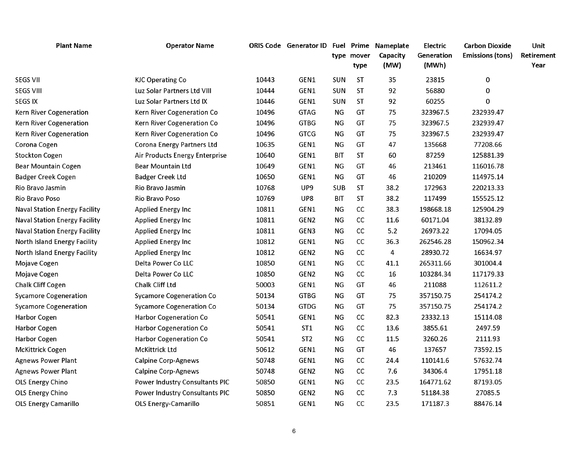| <b>Plant Name</b>                    | <b>Operator Name</b>                  |       | ORIS Code Generator ID Fuel Prime Nameplate |            | type mover<br>type | Capacity<br>(MW) | Electric<br>Generation<br>(MWh) | <b>Carbon Dioxide</b><br><b>Emissions (tons)</b> | Unit<br>Retirement<br>Year |
|--------------------------------------|---------------------------------------|-------|---------------------------------------------|------------|--------------------|------------------|---------------------------------|--------------------------------------------------|----------------------------|
| <b>SEGS VII</b>                      | <b>KJC Operating Co</b>               | 10443 | GEN1                                        | SUN        | <b>ST</b>          | 35               | 23815                           | $\pmb{0}$                                        |                            |
| <b>SEGS VIII</b>                     | Luz Solar Partners Ltd VIII           | 10444 | GEN1                                        | SUN        | <b>ST</b>          | 92               | 56880                           | $\mathbf 0$                                      |                            |
| <b>SEGS IX</b>                       | Luz Solar Partners Ltd IX             | 10446 | GEN1                                        | SUN        | ST                 | 92               | 60255                           | $\mathbf 0$                                      |                            |
| Kern River Cogeneration              | Kern River Cogeneration Co            | 10496 | <b>GTAG</b>                                 | <b>NG</b>  | GT                 | 75               | 323967.5                        | 232939.47                                        |                            |
| Kern River Cogeneration              | Kern River Cogeneration Co            | 10496 | <b>GTBG</b>                                 | NG         | GT                 | 75               | 323967.5                        | 232939.47                                        |                            |
| Kern River Cogeneration              | Kern River Cogeneration Co            | 10496 | <b>GTCG</b>                                 | NG         | GT                 | 75               | 323967.5                        | 232939.47                                        |                            |
| Corona Cogen                         | <b>Corona Energy Partners Ltd</b>     | 10635 | GEN1                                        | <b>NG</b>  | GT                 | 47               | 135668                          | 77208.66                                         |                            |
| <b>Stockton Cogen</b>                | Air Products Energy Enterprise        | 10640 | GEN1                                        | <b>BIT</b> | <b>ST</b>          | 60               | 87259                           | 125881.39                                        |                            |
| <b>Bear Mountain Cogen</b>           | <b>Bear Mountain Ltd</b>              | 10649 | GEN1                                        | <b>NG</b>  | GT                 | 46               | 213461                          | 116016.78                                        |                            |
| <b>Badger Creek Cogen</b>            | <b>Badger Creek Ltd</b>               | 10650 | GEN1                                        | ΝG         | GT                 | 46               | 210209                          | 114975.14                                        |                            |
| Rio Bravo Jasmin                     | Rio Bravo Jasmin                      | 10768 | UP9                                         | <b>SUB</b> | <b>ST</b>          | 38.2             | 172963                          | 220213.33                                        |                            |
| Rio Bravo Poso                       | Rio Bravo Poso                        | 10769 | UP8                                         | <b>BIT</b> | <b>ST</b>          | 38.2             | 117499                          | 155525.12                                        |                            |
| <b>Naval Station Energy Facility</b> | Applied Energy Inc                    | 10811 | GEN1                                        | ΝG         | cc                 | 38.3             | 198668.18                       | 125904.29                                        |                            |
| <b>Naval Station Energy Facility</b> | Applied Energy Inc                    | 10811 | GEN <sub>2</sub>                            | <b>NG</b>  | cc                 | 11.6             | 60171.04                        | 38132.89                                         |                            |
| <b>Naval Station Energy Facility</b> | Applied Energy Inc                    | 10811 | GEN3                                        | ΝG         | cc                 | 5.2              | 26973.22                        | 17094.05                                         |                            |
| North Island Energy Facility         | Applied Energy Inc                    | 10812 | GEN1                                        | <b>NG</b>  | cc                 | 36.3             | 262546.28                       | 150962.34                                        |                            |
| North Island Energy Facility         | Applied Energy Inc                    | 10812 | GEN <sub>2</sub>                            | <b>NG</b>  | $\mathsf{CC}$      | 4                | 28930.72                        | 16634.97                                         |                            |
| Mojave Cogen                         | Delta Power Co LLC                    | 10850 | GEN1                                        | NG         | $\mathsf{CC}$      | 41.1             | 265311.66                       | 301004.4                                         |                            |
| Mojave Cogen                         | Delta Power Co LLC                    | 10850 | GEN <sub>2</sub>                            | ΝG         | cc                 | 16               | 103284.34                       | 117179.33                                        |                            |
| Chalk Cliff Cogen                    | Chalk Cliff Ltd                       | 50003 | GEN1                                        | <b>NG</b>  | GT                 | 46               | 211088                          | 112611.2                                         |                            |
| <b>Sycamore Cogeneration</b>         | <b>Sycamore Cogeneration Co</b>       | 50134 | <b>GTBG</b>                                 | ΝG         | GT                 | 75               | 357150.75                       | 254174.2                                         |                            |
| <b>Sycamore Cogeneration</b>         | <b>Sycamore Cogeneration Co</b>       | 50134 | <b>GTDG</b>                                 | NG         | GT                 | 75               | 357150.75                       | 254174.2                                         |                            |
| <b>Harbor Cogen</b>                  | <b>Harbor Cogeneration Co</b>         | 50541 | GEN1                                        | ΝG         | cc                 | 82.3             | 23332.13                        | 15114.08                                         |                            |
| <b>Harbor Cogen</b>                  | <b>Harbor Cogeneration Co</b>         | 50541 | ST <sub>1</sub>                             | <b>NG</b>  | cc                 | 13.6             | 3855.61                         | 2497.59                                          |                            |
| Harbor Cogen                         | <b>Harbor Cogeneration Co</b>         | 50541 | ST <sub>2</sub>                             | <b>NG</b>  | cc                 | 11.5             | 3260.26                         | 2111.93                                          |                            |
| <b>McKittrick Cogen</b>              | McKittrick Ltd                        | 50612 | GEN1                                        | NG         | GT                 | 46               | 137657                          | 73592.15                                         |                            |
| <b>Agnews Power Plant</b>            | <b>Calpine Corp-Agnews</b>            | 50748 | GEN1                                        | NG         | cc                 | 24.4             | 110141.6                        | 57632.74                                         |                            |
| <b>Agnews Power Plant</b>            | <b>Calpine Corp-Agnews</b>            | 50748 | GEN2                                        | ΝG         | cc                 | 7.6              | 34306.4                         | 17951.18                                         |                            |
| OLS Energy Chino                     | <b>Power Industry Consultants PIC</b> | 50850 | GEN1                                        | ΝG         | cc                 | 23.5             | 164771.62                       | 87193.05                                         |                            |
| <b>OLS Energy Chino</b>              | Power Industry Consultants PIC        | 50850 | GEN2                                        | <b>NG</b>  | cc                 | 7.3              | 51184.38                        | 27085.5                                          |                            |
| <b>OLS Energy Camarillo</b>          | OLS Energy-Camarillo                  | 50851 | GEN1                                        | ΝG         | cc                 | 23.5             | 171187.3                        | 88476.14                                         |                            |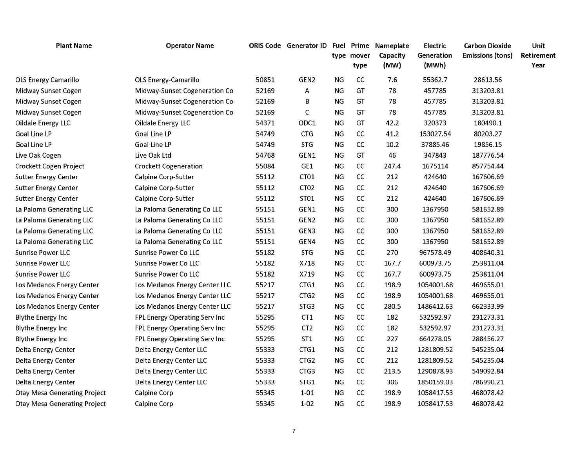| <b>Plant Name</b>                   | <b>Operator Name</b>          |       | ORIS Code Generator ID Fuel Prime Nameplate |             | type mover | Capacity | Electric<br>Generation | <b>Carbon Dioxide</b><br><b>Emissions (tons)</b> | Unit<br>Retirement |
|-------------------------------------|-------------------------------|-------|---------------------------------------------|-------------|------------|----------|------------------------|--------------------------------------------------|--------------------|
|                                     |                               |       |                                             |             | type       | (MW)     | (MWh)                  |                                                  | Year               |
| <b>OLS Energy Camarillo</b>         | <b>OLS Energy-Camarillo</b>   | 50851 | GEN <sub>2</sub>                            | <b>NG</b>   | cc         | 7.6      | 55362.7                | 28613.56                                         |                    |
| Midway Sunset Cogen                 | Midway-Sunset Cogeneration Co | 52169 | A                                           | <b>NG</b>   | GT         | 78       | 457785                 | 313203.81                                        |                    |
| Midway Sunset Cogen                 | Midway-Sunset Cogeneration Co | 52169 | В                                           | NG          | GT         | 78       | 457785                 | 313203.81                                        |                    |
| Midway Sunset Cogen                 | Midway-Sunset Cogeneration Co | 52169 | C                                           | <b>NG</b>   | GT         | 78       | 457785                 | 313203.81                                        |                    |
| <b>Oildale Energy LLC</b>           | <b>Oildale Energy LLC</b>     | 54371 | ODC1                                        | <b>NG</b>   | GT         | 42.2     | 320373                 | 180490.1                                         |                    |
| <b>Goal Line LP</b>                 | Goal Line LP                  | 54749 | <b>CTG</b>                                  | <b>NG</b>   | cc         | 41.2     | 153027.54              | 80203.27                                         |                    |
| <b>Goal Line LP</b>                 | <b>Goal Line LP</b>           | 54749 | <b>STG</b>                                  | $_{\rm NG}$ | cc         | 10.2     | 37885.46               | 19856.15                                         |                    |
| Live Oak Cogen                      | Live Oak Ltd                  | 54768 | GEN1                                        | <b>NG</b>   | GT         | 46       | 347843                 | 187776.54                                        |                    |
| Crockett Cogen Project              | <b>Crockett Cogeneration</b>  | 55084 | GE1                                         | <b>NG</b>   | CC         | 247.4    | 1675114                | 857754.44                                        |                    |
| <b>Sutter Energy Center</b>         | <b>Calpine Corp-Sutter</b>    | 55112 | CT01                                        | <b>NG</b>   | CC         | 212      | 424640                 | 167606.69                                        |                    |
| <b>Sutter Energy Center</b>         | <b>Calpine Corp-Sutter</b>    | 55112 | CT <sub>02</sub>                            | ΝG          | CC         | 212      | 424640                 | 167606.69                                        |                    |
| <b>Sutter Energy Center</b>         | <b>Calpine Corp-Sutter</b>    | 55112 | ST01                                        | <b>NG</b>   | cc         | 212      | 424640                 | 167606.69                                        |                    |
| La Paloma Generating LLC            | La Paloma Generating Co LLC   | 55151 | GEN1                                        | NG          | cc         | 300      | 1367950                | 581652.89                                        |                    |
| La Paloma Generating LLC            | La Paloma Generating Co LLC   | 55151 | GEN <sub>2</sub>                            | <b>NG</b>   | CC         | 300      | 1367950                | 581652.89                                        |                    |
| La Paloma Generating LLC            | La Paloma Generating Co LLC   | 55151 | GEN3                                        | <b>NG</b>   | CC         | 300      | 1367950                | 581652.89                                        |                    |
| La Paloma Generating LLC            | La Paloma Generating Co LLC   | 55151 | GEN4                                        | <b>NG</b>   | cc         | 300      | 1367950                | 581652.89                                        |                    |
| <b>Sunrise Power LLC</b>            | <b>Sunrise Power Co LLC</b>   | 55182 | <b>STG</b>                                  | <b>NG</b>   | cc         | 270      | 967578.49              | 408640.31                                        |                    |
| <b>Sunrise Power LLC</b>            | <b>Sunrise Power Co LLC</b>   | 55182 | X718                                        | <b>NG</b>   | cc         | 167.7    | 600973.75              | 253811.04                                        |                    |
| <b>Sunrise Power LLC</b>            | <b>Sunrise Power Co LLC</b>   | 55182 | X719                                        | NG          | cc         | 167.7    | 600973.75              | 253811.04                                        |                    |
| Los Medanos Energy Center           | Los Medanos Energy Center LLC | 55217 | CTG1                                        | <b>NG</b>   | cc         | 198.9    | 1054001.68             | 469655.01                                        |                    |
| Los Medanos Energy Center           | Los Medanos Energy Center LLC | 55217 | CTG <sub>2</sub>                            | NG          | cc         | 198.9    | 1054001.68             | 469655.01                                        |                    |
| Los Medanos Energy Center           | Los Medanos Energy Center LLC | 55217 | STG3                                        | <b>NG</b>   | cc         | 280.5    | 1486412.63             | 662333.99                                        |                    |
| <b>Blythe Energy Inc</b>            | FPL Energy Operating Serv Inc | 55295 | CT1                                         | <b>NG</b>   | cc         | 182      | 532592.97              | 231273.31                                        |                    |
| <b>Blythe Energy Inc</b>            | FPL Energy Operating Serv Inc | 55295 | CT <sub>2</sub>                             | $_{\rm NG}$ | CC         | 182      | 532592.97              | 231273.31                                        |                    |
| <b>Blythe Energy Inc</b>            | FPL Energy Operating Serv Inc | 55295 | ST <sub>1</sub>                             | <b>NG</b>   | cc         | 227      | 664278.05              | 288456.27                                        |                    |
| Delta Energy Center                 | Delta Energy Center LLC       | 55333 | CTG1                                        | <b>NG</b>   | cc         | 212      | 1281809.52             | 545235.04                                        |                    |
| Delta Energy Center                 | Delta Energy Center LLC       | 55333 | CTG <sub>2</sub>                            | NG          | cc         | 212      | 1281809.52             | 545235.04                                        |                    |
| Delta Energy Center                 | Delta Energy Center LLC       | 55333 | CTG3                                        | ΝG          | cc         | 213.5    | 1290878.93             | 549092.84                                        |                    |
| Delta Energy Center                 | Delta Energy Center LLC       | 55333 | STG1                                        | <b>NG</b>   | cc         | 306      | 1850159.03             | 786990.21                                        |                    |
| <b>Otay Mesa Generating Project</b> | <b>Calpine Corp</b>           | 55345 | $1 - 01$                                    | <b>NG</b>   | cc         | 198.9    | 1058417.53             | 468078.42                                        |                    |
| <b>Otay Mesa Generating Project</b> | <b>Calpine Corp</b>           | 55345 | $1-02$                                      | <b>NG</b>   | cc         | 198.9    | 1058417.53             | 468078.42                                        |                    |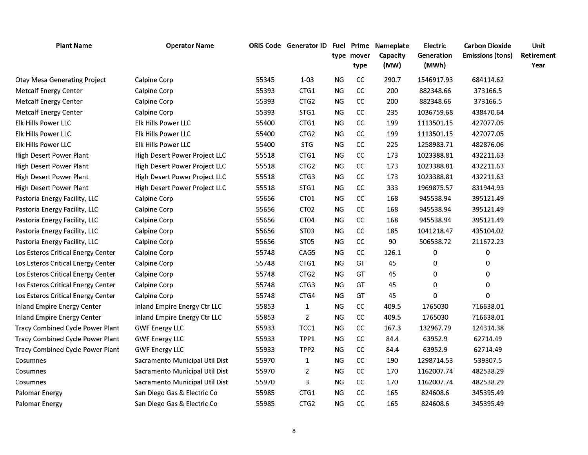| <b>Plant Name</b>                       | <b>Operator Name</b>                |       | ORIS Code Generator ID Fuel Prime |           | type mover<br>type | Nameplate<br>Capacity<br>(MW) | Electric<br>Generation<br>(MWh) | <b>Carbon Dioxide</b><br>Emissions (tons) | Unit<br>Retirement<br>Year |
|-----------------------------------------|-------------------------------------|-------|-----------------------------------|-----------|--------------------|-------------------------------|---------------------------------|-------------------------------------------|----------------------------|
| <b>Otay Mesa Generating Project</b>     | <b>Calpine Corp</b>                 | 55345 | $1 - 03$                          | <b>NG</b> | CC                 | 290.7                         | 1546917.93                      | 684114.62                                 |                            |
| <b>Metcalf Energy Center</b>            | <b>Calpine Corp</b>                 | 55393 | CTG1                              | <b>NG</b> | cc                 | 200                           | 882348.66                       | 373166.5                                  |                            |
| <b>Metcalf Energy Center</b>            | <b>Calpine Corp</b>                 | 55393 | CTG <sub>2</sub>                  | NG        | CC                 | 200                           | 882348.66                       | 373166.5                                  |                            |
| <b>Metcalf Energy Center</b>            | <b>Calpine Corp</b>                 | 55393 | STG1                              | <b>NG</b> | cc                 | 235                           | 1036759.68                      | 438470.64                                 |                            |
| Elk Hills Power LLC                     | Elk Hills Power LLC                 | 55400 | CTG1                              | <b>NG</b> | cc                 | 199                           | 1113501.15                      | 427077.05                                 |                            |
| Elk Hills Power LLC                     | <b>Elk Hills Power LLC</b>          | 55400 | CTG2                              | <b>NG</b> | $\mathsf{CC}$      | 199                           | 1113501.15                      | 427077.05                                 |                            |
| Elk Hills Power LLC                     | Elk Hills Power LLC                 | 55400 | <b>STG</b>                        | <b>NG</b> | cc                 | 225                           | 1258983.71                      | 482876.06                                 |                            |
| High Desert Power Plant                 | High Desert Power Project LLC       | 55518 | CTG1                              | ΝG        | CC                 | 173                           | 1023388.81                      | 432211.63                                 |                            |
| High Desert Power Plant                 | High Desert Power Project LLC       | 55518 | CTG2                              | NG        | $\mathsf{CC}$      | 173                           | 1023388.81                      | 432211.63                                 |                            |
| <b>High Desert Power Plant</b>          | High Desert Power Project LLC       | 55518 | CTG3                              | <b>NG</b> | CC                 | 173                           | 1023388.81                      | 432211.63                                 |                            |
| <b>High Desert Power Plant</b>          | High Desert Power Project LLC       | 55518 | STG1                              | <b>NG</b> | CC                 | 333                           | 1969875.57                      | 831944.93                                 |                            |
| Pastoria Energy Facility, LLC           | <b>Calpine Corp</b>                 | 55656 | CT01                              | <b>NG</b> | cc                 | 168                           | 945538.94                       | 395121.49                                 |                            |
| Pastoria Energy Facility, LLC           | <b>Calpine Corp</b>                 | 55656 | CT <sub>02</sub>                  | <b>NG</b> | cc                 | 168                           | 945538.94                       | 395121.49                                 |                            |
| Pastoria Energy Facility, LLC           | <b>Calpine Corp</b>                 | 55656 | CT <sub>04</sub>                  | <b>NG</b> | CC                 | 168                           | 945538.94                       | 395121.49                                 |                            |
| Pastoria Energy Facility, LLC           | <b>Calpine Corp</b>                 | 55656 | ST03                              | <b>NG</b> | cc                 | 185                           | 1041218.47                      | 435104.02                                 |                            |
| Pastoria Energy Facility, LLC           | <b>Calpine Corp</b>                 | 55656 | ST <sub>05</sub>                  | <b>NG</b> | cc                 | 90                            | 506538.72                       | 211672.23                                 |                            |
| Los Esteros Critical Energy Center      | <b>Calpine Corp</b>                 | 55748 | CAG5                              | <b>NG</b> | cc                 | 126.1                         | $\pmb{0}$                       | $\pmb{0}$                                 |                            |
| Los Esteros Critical Energy Center      | <b>Calpine Corp</b>                 | 55748 | CTG1                              | ΝG        | GT                 | 45                            | 0                               | 0                                         |                            |
| Los Esteros Critical Energy Center      | <b>Calpine Corp</b>                 | 55748 | CTG <sub>2</sub>                  | <b>NG</b> | GT                 | 45                            | 0                               | 0                                         |                            |
| Los Esteros Critical Energy Center      | <b>Calpine Corp</b>                 | 55748 | CTG3                              | <b>NG</b> | GT                 | 45                            | 0                               | 0                                         |                            |
| Los Esteros Critical Energy Center      | <b>Calpine Corp</b>                 | 55748 | CTG4                              | <b>NG</b> | GT                 | 45                            | $\Omega$                        | $\Omega$                                  |                            |
| <b>Inland Empire Energy Center</b>      | <b>Inland Empire Energy Ctr LLC</b> | 55853 | $\mathbf{1}$                      | <b>NG</b> | CC                 | 409.5                         | 1765030                         | 716638.01                                 |                            |
| <b>Inland Empire Energy Center</b>      | Inland Empire Energy Ctr LLC        | 55853 | $\overline{2}$                    | <b>NG</b> | CC                 | 409.5                         | 1765030                         | 716638.01                                 |                            |
| <b>Tracy Combined Cycle Power Plant</b> | <b>GWF Energy LLC</b>               | 55933 | TCC1                              | <b>NG</b> | cc                 | 167.3                         | 132967.79                       | 124314.38                                 |                            |
| <b>Tracy Combined Cycle Power Plant</b> | <b>GWF Energy LLC</b>               | 55933 | TPP1                              | <b>NG</b> | CC                 | 84.4                          | 63952.9                         | 62714.49                                  |                            |
| <b>Tracy Combined Cycle Power Plant</b> | <b>GWF Energy LLC</b>               | 55933 | TPP <sub>2</sub>                  | <b>NG</b> | CC                 | 84.4                          | 63952.9                         | 62714.49                                  |                            |
| Cosumnes                                | Sacramento Municipal Util Dist      | 55970 | 1                                 | <b>NG</b> | CC                 | 190                           | 1298714.53                      | 539307.5                                  |                            |
| Cosumnes                                | Sacramento Municipal Util Dist      | 55970 | $\overline{2}$                    | <b>NG</b> | cc                 | 170                           | 1162007.74                      | 482538.29                                 |                            |
| Cosumnes                                | Sacramento Municipal Util Dist      | 55970 | 3                                 | <b>NG</b> | CC                 | 170                           | 1162007.74                      | 482538.29                                 |                            |
| Palomar Energy                          | San Diego Gas & Electric Co         | 55985 | CTG1                              | <b>NG</b> | cc                 | 165                           | 824608.6                        | 345395.49                                 |                            |
| Palomar Energy                          | San Diego Gas & Electric Co         | 55985 | CTG <sub>2</sub>                  | <b>NG</b> | cc                 | 165                           | 824608.6                        | 345395.49                                 |                            |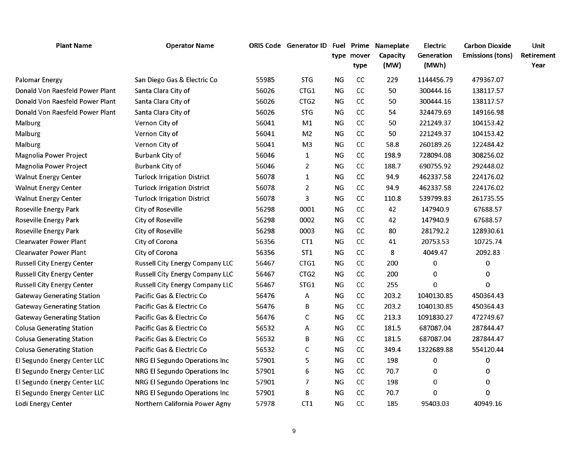| <b>Operator Name</b>                   |       |                  |            | type          | Nameplate<br>Capacity<br>(MW) | Electric<br>Generation<br>(MWh)   | <b>Carbon Dioxide</b><br><b>Emissions (tons)</b> | Unit<br>Retirement<br>Year |
|----------------------------------------|-------|------------------|------------|---------------|-------------------------------|-----------------------------------|--------------------------------------------------|----------------------------|
| San Diego Gas & Electric Co            | 55985 | <b>STG</b>       | NG         | cc            | 229                           | 1144456.79                        | 479367.07                                        |                            |
| Santa Clara City of                    | 56026 | CTG1             | NG         | cc            | 50                            | 300444.16                         | 138117.57                                        |                            |
| Santa Clara City of                    | 56026 | CTG <sub>2</sub> | <b>NG</b>  | cc            | 50                            | 300444.16                         | 138117.57                                        |                            |
| Santa Clara City of                    | 56026 | <b>STG</b>       | <b>NG</b>  | cc            | 54                            | 324479.69                         | 149166.98                                        |                            |
| Vernon City of                         | 56041 | M1               | <b>NG</b>  | cc            | 50                            | 221249.37                         | 104153.42                                        |                            |
| Vernon City of                         | 56041 | M <sub>2</sub>   | <b>NG</b>  | cc            | 50                            | 221249.37                         | 104153.42                                        |                            |
| Vernon City of                         | 56041 | M <sub>3</sub>   | NG         | $\mathsf{CC}$ | 58.8                          | 260189.26                         | 122484.42                                        |                            |
| Burbank City of                        | 56046 | $\mathbf{1}$     | <b>NG</b>  | cc            | 198.9                         | 728094.08                         | 308256.02                                        |                            |
| Burbank City of                        | 56046 | $\overline{2}$   | <b>NG</b>  | cc            | 188.7                         | 690755.92                         | 292448.02                                        |                            |
| <b>Turlock Irrigation District</b>     | 56078 | $\mathbf{1}$     | NG         | cc            | 94.9                          | 462337.58                         | 224176.02                                        |                            |
| <b>Turlock Irrigation District</b>     | 56078 | 2                | <b>NG</b>  | CC            | 94.9                          | 462337.58                         | 224176.02                                        |                            |
| <b>Turlock Irrigation District</b>     | 56078 | 3                | <b>NG</b>  | cc            | 110.8                         | 539799.83                         | 261735.55                                        |                            |
| City of Roseville                      | 56298 | 0001             | NG         | cc            | 42                            | 147940.9                          | 67688.57                                         |                            |
| City of Roseville                      | 56298 | 0002             | NG         | CC            | 42                            | 147940.9                          | 67688.57                                         |                            |
| City of Roseville                      | 56298 | 0003             | <b>NG</b>  | CC            | 80                            | 281792.2                          | 128930.61                                        |                            |
| City of Corona                         | 56356 | CT1              | <b>NG</b>  | cc            | 41                            | 20753.53                          | 10725.74                                         |                            |
| City of Corona                         | 56356 | ST <sub>1</sub>  | <b>NG</b>  | cc            | 8                             | 4049.47                           | 2092.83                                          |                            |
| Russell City Energy Company LLC        | 56467 | CTG1             | NG         | cc            | 200                           | 0                                 | 0                                                |                            |
| Russell City Energy Company LLC        | 56467 | CTG <sub>2</sub> | <b>NG</b>  | CC            | 200                           | 0                                 | 0                                                |                            |
| <b>Russell City Energy Company LLC</b> | 56467 | STG1             | <b>NG</b>  | cc            | 255                           | 0                                 | 0                                                |                            |
| Pacific Gas & Electric Co              | 56476 | А                | <b>NG</b>  | cc            | 203.2                         | 1040130.85                        | 450364.43                                        |                            |
| Pacific Gas & Electric Co              | 56476 | В                | NG         | cc            | 203.2                         | 1040130.85                        | 450364.43                                        |                            |
| Pacific Gas & Electric Co              | 56476 | С                | <b>NG</b>  | cc            | 213.3                         | 1091830.27                        | 472749.67                                        |                            |
| Pacific Gas & Electric Co              | 56532 | Α                | <b>NG</b>  | cc            | 181.5                         | 687087.04                         | 287844.47                                        |                            |
| Pacific Gas & Electric Co              | 56532 | В                | NG         | cc            | 181.5                         | 687087.04                         | 287844.47                                        |                            |
| Pacific Gas & Electric Co              | 56532 | С                | ${\sf NG}$ | cc            | 349.4                         | 1322689.88                        | 554120.44                                        |                            |
| <b>NRG El Segundo Operations Inc</b>   | 57901 | 5                | <b>NG</b>  | cc            | 198                           | 0                                 | 0                                                |                            |
| <b>NRG El Segundo Operations Inc</b>   | 57901 | 6                | <b>NG</b>  | cc            | 70.7                          | 0                                 | 0                                                |                            |
| NRG El Segundo Operations Inc          | 57901 | 7                | <b>NG</b>  | cc            | 198                           | 0                                 | 0                                                |                            |
| NRG El Segundo Operations Inc          | 57901 | 8                | <b>NG</b>  | cc            | 70.7                          | ი                                 | 0                                                |                            |
| Northern California Power Agny         | 57978 | CT <sub>1</sub>  | NG         | cc            | 185                           | 95403.03                          | 40949.16                                         |                            |
|                                        |       |                  |            |               | type mover                    | ORIS Code Generator ID Fuel Prime |                                                  |                            |